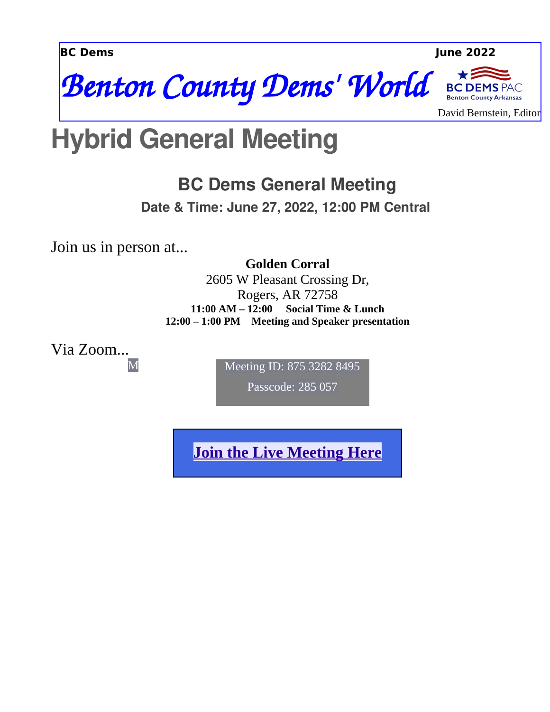**BC Dems June 2022**



David Bernstein, Editor

**PAC** 

## **Hybrid General Meeting**

### **BC Dems General Meeting**

**Date & Time: June 27, 2022, 12:00 PM Central**

Join us in person at...

M

**Golden Corral** 2605 W Pleasant Crossing Dr, Rogers, AR 72758 **11:00 AM – 12:00 Social Time & Lunch 12:00 – 1:00 PM Meeting and Speaker presentation**

Via Zoom...

Meeting ID: 875 3282 8495

Passcode: 285 057

**[Join the Live Meeting Here](https://us06web.zoom.us/j/87532828495?pwd=eUMxTHdxZWhMd28vZllFRDJqa0kxQT09)**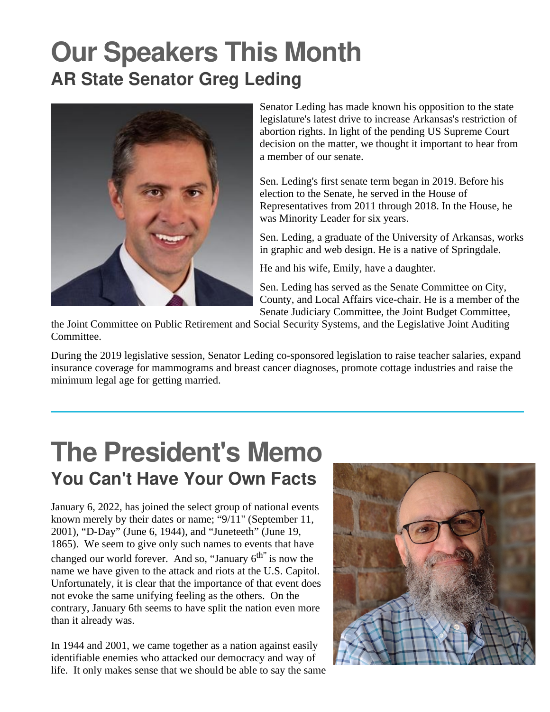## **Our Speakers This Month AR State Senator Greg Leding**



Senator Leding has made known his opposition to the state legislature's latest drive to increase Arkansas's restriction of abortion rights. In light of the pending US Supreme Court decision on the matter, we thought it important to hear from a member of our senate.

Sen. Leding's first senate term began in 2019. Before his election to the Senate, he served in the House of Representatives from 2011 through 2018. In the House, he was Minority Leader for six years.

Sen. Leding, a graduate of the University of Arkansas, works in graphic and web design. He is a native of Springdale.

He and his wife, Emily, have a daughter.

Sen. Leding has served as the Senate Committee on City, County, and Local Affairs vice-chair. He is a member of the Senate Judiciary Committee, the Joint Budget Committee,

the Joint Committee on Public Retirement and Social Security Systems, and the Legislative Joint Auditing Committee.

During the 2019 legislative session, Senator Leding co-sponsored legislation to raise teacher salaries, expand insurance coverage for mammograms and breast cancer diagnoses, promote cottage industries and raise the minimum legal age for getting married.

## **The President's Memo You Can't Have Your Own Facts**

January 6, 2022, has joined the select group of national events known merely by their dates or name; "9/11" (September 11, 2001), "D-Day" (June 6, 1944), and "Juneteeth" (June 19, 1865). We seem to give only such names to events that have changed our world forever. And so, "January  $6<sup>th</sup>$ " is now the name we have given to the attack and riots at the U.S. Capitol. Unfortunately, it is clear that the importance of that event does not evoke the same unifying feeling as the others. On the contrary, January 6th seems to have split the nation even more than it already was.

In 1944 and 2001, we came together as a nation against easily identifiable enemies who attacked our democracy and way of life. It only makes sense that we should be able to say the same

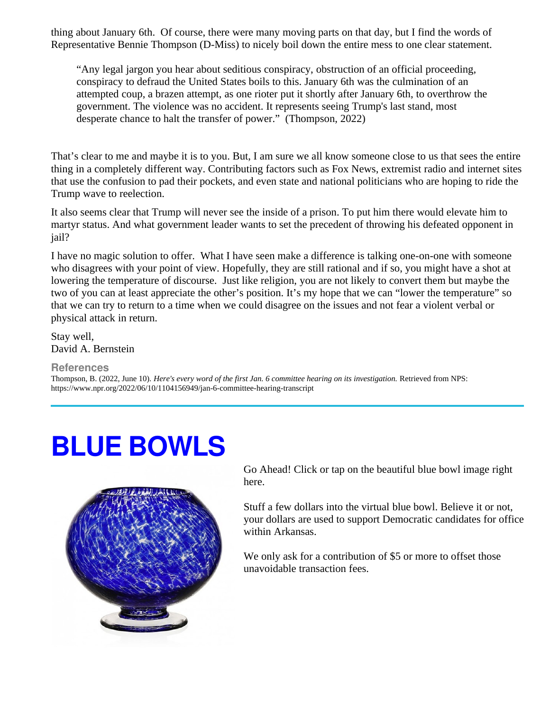thing about January 6th. Of course, there were many moving parts on that day, but I find the words of Representative Bennie Thompson (D-Miss) to nicely boil down the entire mess to one clear statement.

"Any legal jargon you hear about seditious conspiracy, obstruction of an official proceeding, conspiracy to defraud the United States boils to this. January 6th was the culmination of an attempted coup, a brazen attempt, as one rioter put it shortly after January 6th, to overthrow the government. The violence was no accident. It represents seeing Trump's last stand, most desperate chance to halt the transfer of power." (Thompson, 2022)

That's clear to me and maybe it is to you. But, I am sure we all know someone close to us that sees the entire thing in a completely different way. Contributing factors such as Fox News, extremist radio and internet sites that use the confusion to pad their pockets, and even state and national politicians who are hoping to ride the Trump wave to reelection.

It also seems clear that Trump will never see the inside of a prison. To put him there would elevate him to martyr status. And what government leader wants to set the precedent of throwing his defeated opponent in jail?

I have no magic solution to offer. What I have seen make a difference is talking one-on-one with someone who disagrees with your point of view. Hopefully, they are still rational and if so, you might have a shot at lowering the temperature of discourse. Just like religion, you are not likely to convert them but maybe the two of you can at least appreciate the other's position. It's my hope that we can "lower the temperature" so that we can try to return to a time when we could disagree on the issues and not fear a violent verbal or physical attack in return.

Stay well, David A. Bernstein

#### **References**

l

Thompson, B. (2022, June 10). *Here's every word of the first Jan. 6 committee hearing on its investigation.* Retrieved from NPS: https://www.npr.org/2022/06/10/1104156949/jan-6-committee-hearing-transcript

# **BLUE BOWLS**



Go Ahead! Click or tap on the beautiful blue bowl image right here.

Stuff a few dollars into the virtual blue bowl. Believe it or not, your dollars are used to support Democratic candidates for office within Arkansas.

We only ask for a contribution of \$5 or more to offset those unavoidable transaction fees.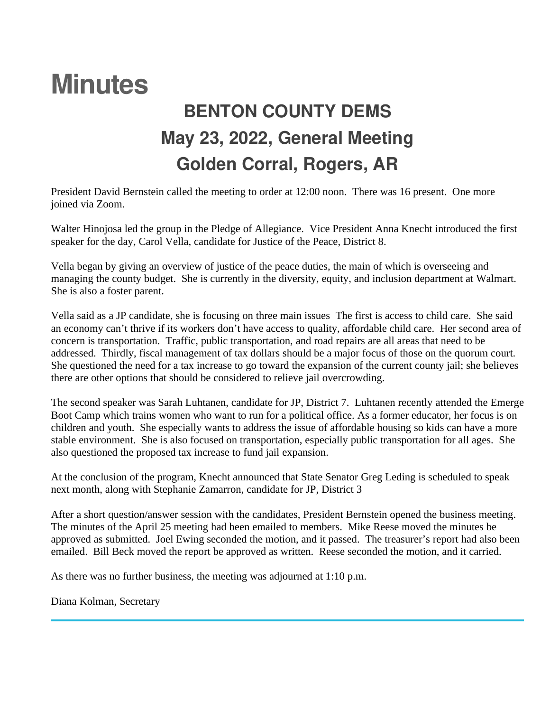## **Minutes BENTON COUNTY DEMS May 23, 2022, General Meeting Golden Corral, Rogers, AR**

President David Bernstein called the meeting to order at 12:00 noon. There was 16 present. One more joined via Zoom.

Walter Hinojosa led the group in the Pledge of Allegiance. Vice President Anna Knecht introduced the first speaker for the day, Carol Vella, candidate for Justice of the Peace, District 8.

Vella began by giving an overview of justice of the peace duties, the main of which is overseeing and managing the county budget. She is currently in the diversity, equity, and inclusion department at Walmart. She is also a foster parent.

Vella said as a JP candidate, she is focusing on three main issues The first is access to child care. She said an economy can't thrive if its workers don't have access to quality, affordable child care. Her second area of concern is transportation. Traffic, public transportation, and road repairs are all areas that need to be addressed. Thirdly, fiscal management of tax dollars should be a major focus of those on the quorum court. She questioned the need for a tax increase to go toward the expansion of the current county jail; she believes there are other options that should be considered to relieve jail overcrowding.

The second speaker was Sarah Luhtanen, candidate for JP, District 7. Luhtanen recently attended the Emerge Boot Camp which trains women who want to run for a political office. As a former educator, her focus is on children and youth. She especially wants to address the issue of affordable housing so kids can have a more stable environment. She is also focused on transportation, especially public transportation for all ages. She also questioned the proposed tax increase to fund jail expansion.

At the conclusion of the program, Knecht announced that State Senator Greg Leding is scheduled to speak next month, along with Stephanie Zamarron, candidate for JP, District 3

After a short question/answer session with the candidates, President Bernstein opened the business meeting. The minutes of the April 25 meeting had been emailed to members. Mike Reese moved the minutes be approved as submitted. Joel Ewing seconded the motion, and it passed. The treasurer's report had also been emailed. Bill Beck moved the report be approved as written. Reese seconded the motion, and it carried.

As there was no further business, the meeting was adjourned at 1:10 p.m.

Diana Kolman, Secretary

l,